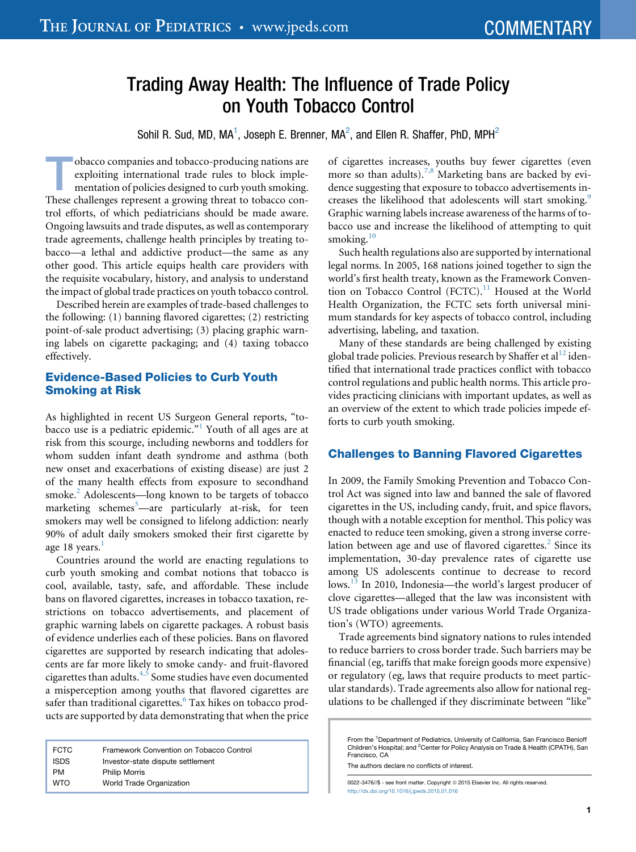# Trading Away Health: The Influence of Trade Policy on Youth Tobacco Control

Sohil R. Sud. MD, MA<sup>1</sup>, Joseph E. Brenner, MA<sup>2</sup>, and Ellen R. Shaffer, PhD, MPH<sup>2</sup>

Tobacco companies and tobacco-producing nations are<br>exploiting international trade rules to block imple-<br>mentation of policies designed to curb youth smoking.<br>These challenges represent a growing threat to tobacco conexploiting international trade rules to block implementation of policies designed to curb youth smoking. These challenges represent a growing threat to tobacco control efforts, of which pediatricians should be made aware. Ongoing lawsuits and trade disputes, as well as contemporary trade agreements, challenge health principles by treating tobacco—a lethal and addictive product—the same as any other good. This article equips health care providers with the requisite vocabulary, history, and analysis to understand the impact of global trade practices on youth tobacco control.

Described herein are examples of trade-based challenges to the following: (1) banning flavored cigarettes; (2) restricting point-of-sale product advertising; (3) placing graphic warning labels on cigarette packaging; and (4) taxing tobacco effectively.

# Evidence-Based Policies to Curb Youth Smoking at Risk

As highlighted in recent US Surgeon General reports, "to-bacco use is a pediatric epidemic."<sup>[1](#page-3-0)</sup> Youth of all ages are at risk from this scourge, including newborns and toddlers for whom sudden infant death syndrome and asthma (both new onset and exacerbations of existing disease) are just 2 of the many health effects from exposure to secondhand smoke.<sup>[2](#page-3-0)</sup> Adolescents—long known to be targets of tobacco marketing schemes<sup>[3](#page-3-0)</sup>—are particularly at-risk, for teen smokers may well be consigned to lifelong addiction: nearly 90% of adult daily smokers smoked their first cigarette by age [1](#page-3-0)8 years. $\frac{1}{1}$ 

Countries around the world are enacting regulations to curb youth smoking and combat notions that tobacco is cool, available, tasty, safe, and affordable. These include bans on flavored cigarettes, increases in tobacco taxation, restrictions on tobacco advertisements, and placement of graphic warning labels on cigarette packages. A robust basis of evidence underlies each of these policies. Bans on flavored cigarettes are supported by research indicating that adolescents are far more likely to smoke candy- and fruit-flavored cigarettes than adults. $4,5$  Some studies have even documented a misperception among youths that flavored cigarettes are safer than traditional cigarettes.<sup>[6](#page-3-0)</sup> Tax hikes on tobacco products are supported by data demonstrating that when the price

| <b>FCTC</b> | Framework Convention on Tobacco Control |
|-------------|-----------------------------------------|
| <b>ISDS</b> | Investor-state dispute settlement       |
| PM          | <b>Philip Morris</b>                    |
| <b>WTO</b>  | World Trade Organization                |

of cigarettes increases, youths buy fewer cigarettes (even more so than adults).<sup>[7,8](#page-3-0)</sup> Marketing bans are backed by evidence suggesting that exposure to tobacco advertisements in-creases the likelihood that adolescents will start smoking.<sup>[9](#page-3-0)</sup> Graphic warning labels increase awareness of the harms of tobacco use and increase the likelihood of attempting to quit smoking. $10$ 

Such health regulations also are supported by international legal norms. In 2005, 168 nations joined together to sign the world's first health treaty, known as the Framework Conven-tion on Tobacco Control (FCTC).<sup>[11](#page-3-0)</sup> Housed at the World Health Organization, the FCTC sets forth universal minimum standards for key aspects of tobacco control, including advertising, labeling, and taxation.

Many of these standards are being challenged by existing global trade policies. Previous research by Shaffer et al<sup>[12](#page-3-0)</sup> identified that international trade practices conflict with tobacco control regulations and public health norms. This article provides practicing clinicians with important updates, as well as an overview of the extent to which trade policies impede efforts to curb youth smoking.

# Challenges to Banning Flavored Cigarettes

In 2009, the Family Smoking Prevention and Tobacco Control Act was signed into law and banned the sale of flavored cigarettes in the US, including candy, fruit, and spice flavors, though with a notable exception for menthol. This policy was enacted to reduce teen smoking, given a strong inverse correlation between age and use of flavored cigarettes. $2$  Since its implementation, 30-day prevalence rates of cigarette use among US adolescents continue to decrease to record lows.<sup>[13](#page-3-0)</sup> In 2010, Indonesia—the world's largest producer of clove cigarettes—alleged that the law was inconsistent with US trade obligations under various World Trade Organization's (WTO) agreements.

Trade agreements bind signatory nations to rules intended to reduce barriers to cross border trade. Such barriers may be financial (eg, tariffs that make foreign goods more expensive) or regulatory (eg, laws that require products to meet particular standards). Trade agreements also allow for national regulations to be challenged if they discriminate between "like"

The authors declare no conflicts of interest.

0022-3476//\$ - see front matter. Copyright © 2015 Elsevier Inc. All rights reserved <http://dx.doi.org/10.1016/j.jpeds.2015.01.016>

From the <sup>1</sup>Department of Pediatrics, University of California, San Francisco Benioff<br>Children's Hospital; and <sup>2</sup>Center for Policy Analysis on Trade & Health (CPATH), San Francisco, CA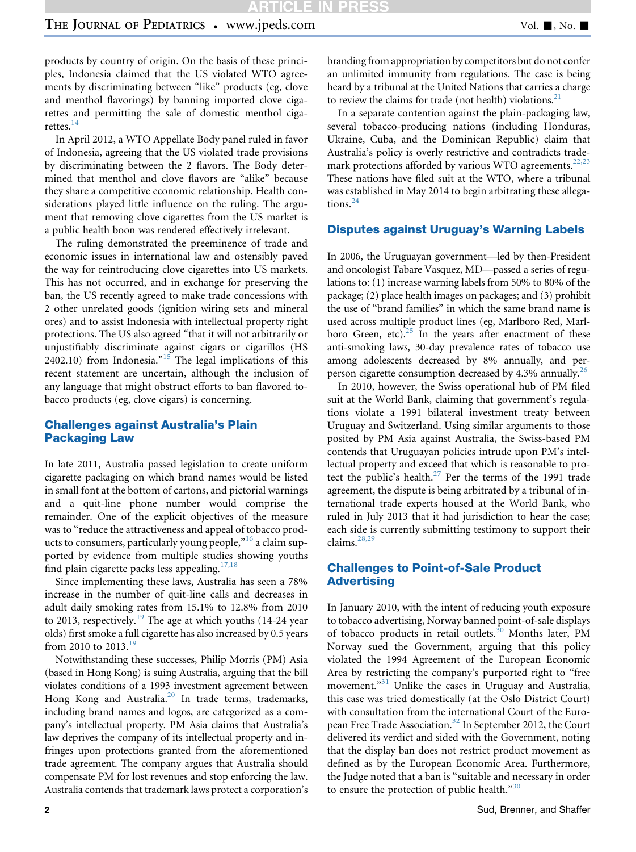products by country of origin. On the basis of these principles, Indonesia claimed that the US violated WTO agreements by discriminating between "like" products (eg, clove and menthol flavorings) by banning imported clove cigarettes and permitting the sale of domestic menthol ciga-rettes.<sup>[14](#page-3-0)</sup>

In April 2012, a WTO Appellate Body panel ruled in favor of Indonesia, agreeing that the US violated trade provisions by discriminating between the 2 flavors. The Body determined that menthol and clove flavors are "alike" because they share a competitive economic relationship. Health considerations played little influence on the ruling. The argument that removing clove cigarettes from the US market is a public health boon was rendered effectively irrelevant.

The ruling demonstrated the preeminence of trade and economic issues in international law and ostensibly paved the way for reintroducing clove cigarettes into US markets. This has not occurred, and in exchange for preserving the ban, the US recently agreed to make trade concessions with 2 other unrelated goods (ignition wiring sets and mineral ores) and to assist Indonesia with intellectual property right protections. The US also agreed "that it will not arbitrarily or unjustifiably discriminate against cigars or cigarillos (HS 2402.10) from Indonesia. $n^{15}$  $n^{15}$  $n^{15}$  The legal implications of this recent statement are uncertain, although the inclusion of any language that might obstruct efforts to ban flavored tobacco products (eg, clove cigars) is concerning.

# Challenges against Australia's Plain Packaging Law

In late 2011, Australia passed legislation to create uniform cigarette packaging on which brand names would be listed in small font at the bottom of cartons, and pictorial warnings and a quit-line phone number would comprise the remainder. One of the explicit objectives of the measure was to "reduce the attractiveness and appeal of tobacco products to consumers, particularly young people, $^{16}$  $^{16}$  $^{16}$  a claim supported by evidence from multiple studies showing youths find plain cigarette packs less appealing.<sup>[17,18](#page-3-0)</sup>

Since implementing these laws, Australia has seen a 78% increase in the number of quit-line calls and decreases in adult daily smoking rates from 15.1% to 12.8% from 2010 to 2013, respectively.<sup>[19](#page-3-0)</sup> The age at which youths (14-24 year olds) first smoke a full cigarette has also increased by 0.5 years from 2010 to  $2013.<sup>19</sup>$  $2013.<sup>19</sup>$  $2013.<sup>19</sup>$ 

Notwithstanding these successes, Philip Morris (PM) Asia (based in Hong Kong) is suing Australia, arguing that the bill violates conditions of a 1993 investment agreement between Hong Kong and Australia.<sup>20</sup> In trade terms, trademarks, including brand names and logos, are categorized as a company's intellectual property. PM Asia claims that Australia's law deprives the company of its intellectual property and infringes upon protections granted from the aforementioned trade agreement. The company argues that Australia should compensate PM for lost revenues and stop enforcing the law. Australia contends that trademark laws protect a corporation's

branding from appropriation by competitors but do not confer an unlimited immunity from regulations. The case is being heard by a tribunal at the United Nations that carries a charge to review the claims for trade (not health) violations. $21$ 

In a separate contention against the plain-packaging law, several tobacco-producing nations (including Honduras, Ukraine, Cuba, and the Dominican Republic) claim that Australia's policy is overly restrictive and contradicts trademark protections afforded by various WTO agreements.<sup>22,23</sup> These nations have filed suit at the WTO, where a tribunal was established in May 2014 to begin arbitrating these allega-tions.<sup>[24](#page-3-0)</sup>

#### Disputes against Uruguay's Warning Labels

In 2006, the Uruguayan government—led by then-President and oncologist Tabare Vasquez, MD—passed a series of regulations to: (1) increase warning labels from 50% to 80% of the package; (2) place health images on packages; and (3) prohibit the use of "brand families" in which the same brand name is used across multiple product lines (eg, Marlboro Red, Marlboro Green, etc). $25$  In the years after enactment of these anti-smoking laws, 30-day prevalence rates of tobacco use among adolescents decreased by 8% annually, and perperson cigarette consumption decreased by 4.3% annually[.26](#page-3-0)

In 2010, however, the Swiss operational hub of PM filed suit at the World Bank, claiming that government's regulations violate a 1991 bilateral investment treaty between Uruguay and Switzerland. Using similar arguments to those posited by PM Asia against Australia, the Swiss-based PM contends that Uruguayan policies intrude upon PM's intellectual property and exceed that which is reasonable to pro-tect the public's health.<sup>[27](#page-3-0)</sup> Per the terms of the 1991 trade agreement, the dispute is being arbitrated by a tribunal of international trade experts housed at the World Bank, who ruled in July 2013 that it had jurisdiction to hear the case; each side is currently submitting testimony to support their claims.[28,29](#page-3-0)

## Challenges to Point-of-Sale Product Advertising

In January 2010, with the intent of reducing youth exposure to tobacco advertising, Norway banned point-of-sale displays of tobacco products in retail outlets.<sup>30</sup> Months later, PM Norway sued the Government, arguing that this policy violated the 1994 Agreement of the European Economic Area by restricting the company's purported right to "free movement."<sup>[31](#page-3-0)</sup> Unlike the cases in Uruguay and Australia, this case was tried domestically (at the Oslo District Court) with consultation from the international Court of the European Free Trade Association.[32](#page-3-0) In September 2012, the Court delivered its verdict and sided with the Government, noting that the display ban does not restrict product movement as defined as by the European Economic Area. Furthermore, the Judge noted that a ban is "suitable and necessary in order to ensure the protection of public health. $\frac{30}{20}$  $\frac{30}{20}$  $\frac{30}{20}$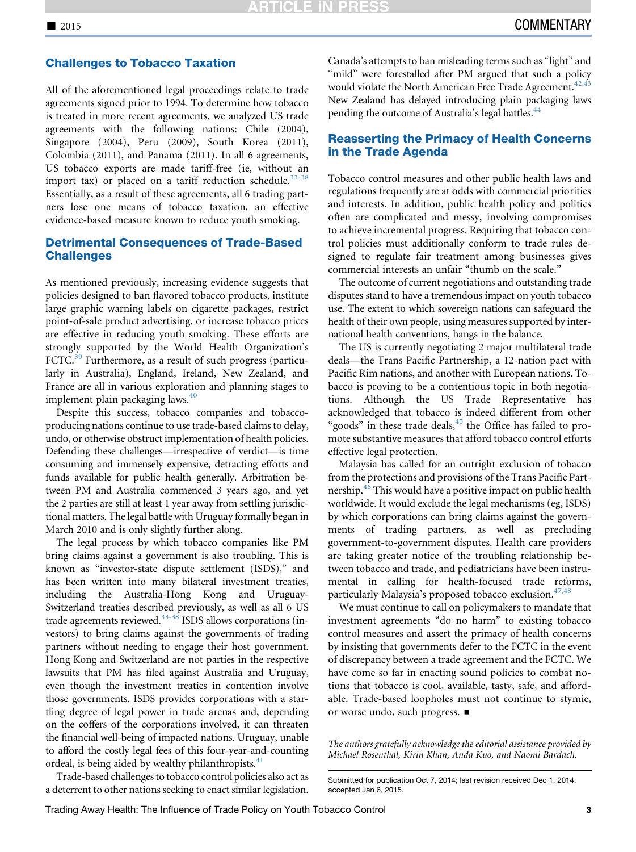#### Challenges to Tobacco Taxation

All of the aforementioned legal proceedings relate to trade agreements signed prior to 1994. To determine how tobacco is treated in more recent agreements, we analyzed US trade agreements with the following nations: Chile (2004), Singapore (2004), Peru (2009), South Korea (2011), Colombia (2011), and Panama (2011). In all 6 agreements, US tobacco exports are made tariff-free (ie, without an import tax) or placed on a tariff reduction schedule. $33-38$ Essentially, as a result of these agreements, all 6 trading partners lose one means of tobacco taxation, an effective evidence-based measure known to reduce youth smoking.

# Detrimental Consequences of Trade-Based **Challenges**

As mentioned previously, increasing evidence suggests that policies designed to ban flavored tobacco products, institute large graphic warning labels on cigarette packages, restrict point-of-sale product advertising, or increase tobacco prices are effective in reducing youth smoking. These efforts are strongly supported by the World Health Organization's FCTC.<sup>[39](#page-4-0)</sup> Furthermore, as a result of such progress (particularly in Australia), England, Ireland, New Zealand, and France are all in various exploration and planning stages to implement plain packaging laws.<sup>[40](#page-4-0)</sup>

Despite this success, tobacco companies and tobaccoproducing nations continue to use trade-based claims to delay, undo, or otherwise obstruct implementation of health policies. Defending these challenges—irrespective of verdict—is time consuming and immensely expensive, detracting efforts and funds available for public health generally. Arbitration between PM and Australia commenced 3 years ago, and yet the 2 parties are still at least 1 year away from settling jurisdictional matters. The legal battle with Uruguay formally began in March 2010 and is only slightly further along.

The legal process by which tobacco companies like PM bring claims against a government is also troubling. This is known as "investor-state dispute settlement (ISDS)," and has been written into many bilateral investment treaties, including the Australia-Hong Kong and Uruguay-Switzerland treaties described previously, as well as all 6 US trade agreements reviewed.<sup>33-38</sup> ISDS allows corporations (investors) to bring claims against the governments of trading partners without needing to engage their host government. Hong Kong and Switzerland are not parties in the respective lawsuits that PM has filed against Australia and Uruguay, even though the investment treaties in contention involve those governments. ISDS provides corporations with a startling degree of legal power in trade arenas and, depending on the coffers of the corporations involved, it can threaten the financial well-being of impacted nations. Uruguay, unable to afford the costly legal fees of this four-year-and-counting ordeal, is being aided by wealthy philanthropists. $41$ 

Trade-based challenges to tobacco control policies also act as a deterrent to other nations seeking to enact similar legislation.

Canada's attempts to ban misleading terms such as "light" and "mild" were forestalled after PM argued that such a policy would violate the North American Free Trade Agreement.<sup>42,43</sup> New Zealand has delayed introducing plain packaging laws pending the outcome of Australia's legal battles.<sup>[44](#page-4-0)</sup>

# Reasserting the Primacy of Health Concerns in the Trade Agenda

Tobacco control measures and other public health laws and regulations frequently are at odds with commercial priorities and interests. In addition, public health policy and politics often are complicated and messy, involving compromises to achieve incremental progress. Requiring that tobacco control policies must additionally conform to trade rules designed to regulate fair treatment among businesses gives commercial interests an unfair "thumb on the scale."

The outcome of current negotiations and outstanding trade disputes stand to have a tremendous impact on youth tobacco use. The extent to which sovereign nations can safeguard the health of their own people, using measures supported by international health conventions, hangs in the balance.

The US is currently negotiating 2 major multilateral trade deals—the Trans Pacific Partnership, a 12-nation pact with Pacific Rim nations, and another with European nations. Tobacco is proving to be a contentious topic in both negotiations. Although the US Trade Representative has acknowledged that tobacco is indeed different from other "goods" in these trade deals, $45$  the Office has failed to promote substantive measures that afford tobacco control efforts effective legal protection.

Malaysia has called for an outright exclusion of tobacco from the protections and provisions of the Trans Pacific Part-nership.<sup>[46](#page-4-0)</sup> This would have a positive impact on public health worldwide. It would exclude the legal mechanisms (eg, ISDS) by which corporations can bring claims against the governments of trading partners, as well as precluding government-to-government disputes. Health care providers are taking greater notice of the troubling relationship between tobacco and trade, and pediatricians have been instrumental in calling for health-focused trade reforms, particularly Malaysia's proposed tobacco exclusion.<sup>[47,48](#page-4-0)</sup>

We must continue to call on policymakers to mandate that investment agreements "do no harm" to existing tobacco control measures and assert the primacy of health concerns by insisting that governments defer to the FCTC in the event of discrepancy between a trade agreement and the FCTC. We have come so far in enacting sound policies to combat notions that tobacco is cool, available, tasty, safe, and affordable. Trade-based loopholes must not continue to stymie, or worse undo, such progress.  $\blacksquare$ 

The authors gratefully acknowledge the editorial assistance provided by Michael Rosenthal, Kirin Khan, Anda Kuo, and Naomi Bardach.

Submitted for publication Oct 7, 2014; last revision received Dec 1, 2014; accepted Jan 6, 2015.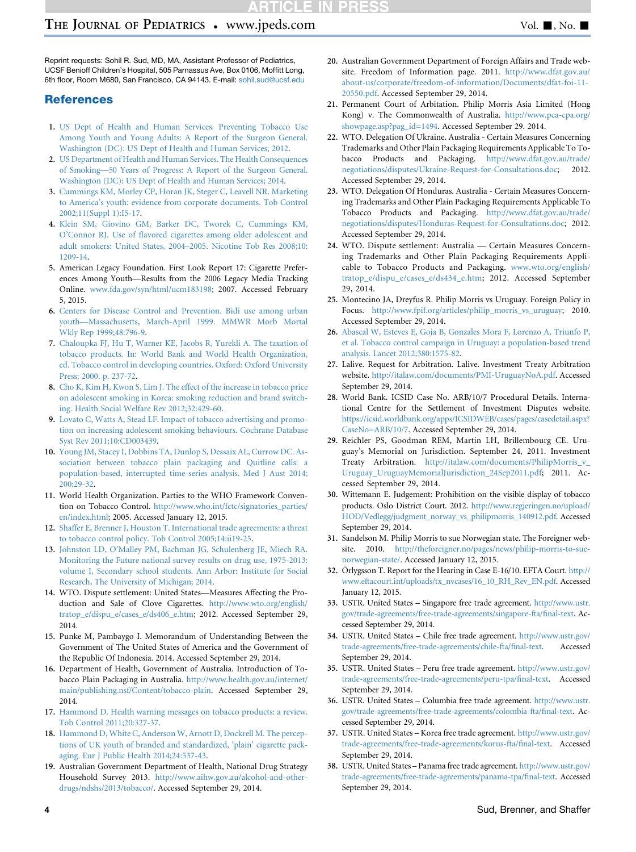# <span id="page-3-0"></span>THE JOURNAL OF PEDIATRICS • www.jpeds.com Vol. 1, No. 1

Reprint requests: Sohil R. Sud, MD, MA, Assistant Professor of Pediatrics, UCSF Benioff Children's Hospital, 505 Parnassus Ave, Box 0106, Moffitt Long, 6th floor, Room M680, San Francisco, CA 94143. E-mail: [sohil.sud@ucsf.edu](mailto:sohil.sud@ucsf.edu)

## **References**

- 1. [US Dept of Health and Human Services. Preventing Tobacco Use](http://refhub.elsevier.com/S0022-3476(15)00017-7/sref1) [Among Youth and Young Adults: A Report of the Surgeon General.](http://refhub.elsevier.com/S0022-3476(15)00017-7/sref1) [Washington \(DC\): US Dept of Health and Human Services; 2012](http://refhub.elsevier.com/S0022-3476(15)00017-7/sref1).
- 2. [US Department of Health and Human Services. The Health Consequences](http://refhub.elsevier.com/S0022-3476(15)00017-7/sref2) [of Smoking—50 Years of Progress: A Report of the Surgeon General.](http://refhub.elsevier.com/S0022-3476(15)00017-7/sref2) [Washington \(DC\): US Dept of Health and Human Services; 2014](http://refhub.elsevier.com/S0022-3476(15)00017-7/sref2).
- 3. [Cummings KM, Morley CP, Horan JK, Steger C, Leavell NR. Marketing](http://refhub.elsevier.com/S0022-3476(15)00017-7/sref3) [to America's youth: evidence from corporate documents. Tob Control](http://refhub.elsevier.com/S0022-3476(15)00017-7/sref3) [2002;11\(Suppl 1\):I5-17.](http://refhub.elsevier.com/S0022-3476(15)00017-7/sref3)
- 4. [Klein SM, Giovino GM, Barker DC, Tworek C, Cummings KM,](http://refhub.elsevier.com/S0022-3476(15)00017-7/sref4) [O'Connor RJ. Use of flavored cigarettes among older adolescent and](http://refhub.elsevier.com/S0022-3476(15)00017-7/sref4) [adult smokers: United States, 2004–2005. Nicotine Tob Res 2008;10:](http://refhub.elsevier.com/S0022-3476(15)00017-7/sref4) [1209-14](http://refhub.elsevier.com/S0022-3476(15)00017-7/sref4).
- 5. American Legacy Foundation. First Look Report 17: Cigarette Preferences Among Youth—Results from the 2006 Legacy Media Tracking Online. [www.fda.gov/syn/html/ucm183198;](http://www.fda.gov/syn/html/ucm183198) 2007. Accessed February 5, 2015.
- 6. [Centers for Disease Control and Prevention. Bidi use among urban](http://refhub.elsevier.com/S0022-3476(15)00017-7/sref6) [youth—Massachusetts, March-April 1999. MMWR Morb Mortal](http://refhub.elsevier.com/S0022-3476(15)00017-7/sref6) [Wkly Rep 1999;48:796-9](http://refhub.elsevier.com/S0022-3476(15)00017-7/sref6).
- 7. [Chaloupka FJ, Hu T, Warner KE, Jacobs R, Yurekli A. The taxation of](http://refhub.elsevier.com/S0022-3476(15)00017-7/sref7) [tobacco products. In: World Bank and World Health Organization,](http://refhub.elsevier.com/S0022-3476(15)00017-7/sref7) [ed. Tobacco control in developing countries. Oxford: Oxford University](http://refhub.elsevier.com/S0022-3476(15)00017-7/sref7) [Press; 2000. p. 237-72.](http://refhub.elsevier.com/S0022-3476(15)00017-7/sref7)
- 8. [Cho K, Kim H, Kwon S, Lim J. The effect of the increase in tobacco price](http://refhub.elsevier.com/S0022-3476(15)00017-7/sref8) [on adolescent smoking in Korea: smoking reduction and brand switch](http://refhub.elsevier.com/S0022-3476(15)00017-7/sref8)[ing. Health Social Welfare Rev 2012;32:429-60.](http://refhub.elsevier.com/S0022-3476(15)00017-7/sref8)
- 9. [Lovato C, Watts A, Stead LF. Impact of tobacco advertising and promo](http://refhub.elsevier.com/S0022-3476(15)00017-7/sref9)[tion on increasing adolescent smoking behaviours. Cochrane Database](http://refhub.elsevier.com/S0022-3476(15)00017-7/sref9) [Syst Rev 2011;10:CD003439](http://refhub.elsevier.com/S0022-3476(15)00017-7/sref9).
- 10. [Young JM, Stacey I, Dobbins TA, Dunlop S, Dessaix AL, Currow DC. As](http://refhub.elsevier.com/S0022-3476(15)00017-7/sref10)[sociation between tobacco plain packaging and Quitline calls: a](http://refhub.elsevier.com/S0022-3476(15)00017-7/sref10) [population-based, interrupted time-series analysis. Med J Aust 2014;](http://refhub.elsevier.com/S0022-3476(15)00017-7/sref10) [200:29-32](http://refhub.elsevier.com/S0022-3476(15)00017-7/sref10).
- 11. World Health Organization. Parties to the WHO Framework Convention on Tobacco Control. [http://www.who.int/fctc/signatories\\_parties/](http://www.who.int/fctc/signatories_parties/en/index.html) [en/index.html;](http://www.who.int/fctc/signatories_parties/en/index.html) 2005. Accessed January 12, 2015.
- 12. [Shaffer E, Brenner J, Houston T. International trade agreements: a threat](http://refhub.elsevier.com/S0022-3476(15)00017-7/sref12) [to tobacco control policy. Tob Control 2005;14:ii19-25](http://refhub.elsevier.com/S0022-3476(15)00017-7/sref12).
- 13. [Johnston LD, O'Malley PM, Bachman JG, Schulenberg JE, Miech RA.](http://refhub.elsevier.com/S0022-3476(15)00017-7/sref13) [Monitoring the Future national survey results on drug use, 1975-2013:](http://refhub.elsevier.com/S0022-3476(15)00017-7/sref13) [volume I, Secondary school students. Ann Arbor: Institute for Social](http://refhub.elsevier.com/S0022-3476(15)00017-7/sref13) [Research, The University of Michigan; 2014](http://refhub.elsevier.com/S0022-3476(15)00017-7/sref13).
- 14. WTO. Dispute settlement: United States—Measures Affecting the Production and Sale of Clove Cigarettes. [http://www.wto.org/english/](http://www.wto.org/english/tratop_e/dispu_e/cases_e/ds406_e.htm) [tratop\\_e/dispu\\_e/cases\\_e/ds406\\_e.htm](http://www.wto.org/english/tratop_e/dispu_e/cases_e/ds406_e.htm); 2012. Accessed September 29, 2014.
- 15. Punke M, Pambaygo I. Memorandum of Understanding Between the Government of The United States of America and the Government of the Republic Of Indonesia. 2014. Accessed September 29, 2014.
- 16. Department of Health, Government of Australia. Introduction of Tobacco Plain Packaging in Australia. [http://www.health.gov.au/internet/](http://www.health.gov.au/internet/main/publishing.nsf/Content/tobacco-plain) [main/publishing.nsf/Content/tobacco-plain](http://www.health.gov.au/internet/main/publishing.nsf/Content/tobacco-plain). Accessed September 29, 2014.
- 17. [Hammond D. Health warning messages on tobacco products: a review.](http://refhub.elsevier.com/S0022-3476(15)00017-7/sref16) [Tob Control 2011;20:327-37.](http://refhub.elsevier.com/S0022-3476(15)00017-7/sref16)
- 18. [Hammond D, White C, Anderson W, Arnott D, Dockrell M. The percep](http://refhub.elsevier.com/S0022-3476(15)00017-7/sref17)[tions of UK youth of branded and standardized, 'plain' cigarette pack](http://refhub.elsevier.com/S0022-3476(15)00017-7/sref17)[aging. Eur J Public Health 2014;24:537-43.](http://refhub.elsevier.com/S0022-3476(15)00017-7/sref17)
- 19. Australian Government Department of Health, National Drug Strategy Household Survey 2013. [http://www.aihw.gov.au/alcohol-and-other](http://www.aihw.gov.au/alcohol-and-other-drugs/ndshs/2013/tobacco/)[drugs/ndshs/2013/tobacco/](http://www.aihw.gov.au/alcohol-and-other-drugs/ndshs/2013/tobacco/). Accessed September 29, 2014.
- 20. Australian Government Department of Foreign Affairs and Trade website. Freedom of Information page. 2011. [http://www.dfat.gov.au/](http://www.dfat.gov.au/about-us/corporate/freedom-of-information/Documents/dfat-foi-11-20550.pdf) [about-us/corporate/freedom-of-information/Documents/dfat-foi-11-](http://www.dfat.gov.au/about-us/corporate/freedom-of-information/Documents/dfat-foi-11-20550.pdf) [20550.pdf.](http://www.dfat.gov.au/about-us/corporate/freedom-of-information/Documents/dfat-foi-11-20550.pdf) Accessed September 29, 2014.
- 21. Permanent Court of Arbitation. Philip Morris Asia Limited (Hong Kong) v. The Commonwealth of Australia. [http://www.pca-cpa.org/](http://www.pca-cpa.org/showpage.asp?pag_id=1494) [showpage.asp?pag\\_id=1494.](http://www.pca-cpa.org/showpage.asp?pag_id=1494) Accessed September 29. 2014.
- 22. WTO. Delegation Of Ukraine. Australia Certain Measures Concerning Trademarks and Other Plain Packaging Requirements Applicable To Tobacco Products and Packaging. [http://www.dfat.gov.au/trade/](http://www.dfat.gov.au/trade/negotiations/disputes/Ukraine-Request-for-Consultations.doc) [negotiations/disputes/Ukraine-Request-for-Consultations.doc;](http://www.dfat.gov.au/trade/negotiations/disputes/Ukraine-Request-for-Consultations.doc) 2012. Accessed September 29, 2014.
- 23. WTO. Delegation Of Honduras. Australia Certain Measures Concerning Trademarks and Other Plain Packaging Requirements Applicable To Tobacco Products and Packaging. [http://www.dfat.gov.au/trade/](http://www.dfat.gov.au/trade/negotiations/disputes/Honduras-Request-for-Consultations.doc) [negotiations/disputes/Honduras-Request-for-Consultations.doc](http://www.dfat.gov.au/trade/negotiations/disputes/Honduras-Request-for-Consultations.doc); 2012. Accessed September 29, 2014.
- 24. WTO. Dispute settlement: Australia Certain Measures Concerning Trademarks and Other Plain Packaging Requirements Applicable to Tobacco Products and Packaging. [www.wto.org/english/](http://www.wto.org/english/tratop_e/dispu_e/cases_e/ds434_e.htm) [tratop\\_e/dispu\\_e/cases\\_e/ds434\\_e.htm;](http://www.wto.org/english/tratop_e/dispu_e/cases_e/ds434_e.htm) 2012. Accessed September 29, 2014.
- 25. Montecino JA, Dreyfus R. Philip Morris vs Uruguay. Foreign Policy in Focus. [http://www.fpif.org/articles/philip\\_morris\\_vs\\_uruguay](http://www.fpif.org/articles/philip_morris_vs_uruguay); 2010. Accessed September 29, 2014.
- 26. [Abascal W, Esteves E, Goja B, Gonzales Mora F, Lorenzo A, Triunfo P,](http://refhub.elsevier.com/S0022-3476(15)00017-7/sref24) [et al. Tobacco control campaign in Uruguay: a population-based trend](http://refhub.elsevier.com/S0022-3476(15)00017-7/sref24) [analysis. Lancet 2012;380:1575-82.](http://refhub.elsevier.com/S0022-3476(15)00017-7/sref24)
- 27. Lalive. Request for Arbitration. Lalive. Investment Treaty Arbitration website. [http://italaw.com/documents/PMI-UruguayNoA.pdf.](http://italaw.com/documents/PMI-UruguayNoA.pdf) Accessed September 29, 2014.
- 28. World Bank. ICSID Case No. ARB/10/7 Procedural Details. International Centre for the Settlement of Investment Disputes website. [https://icsid.worldbank.org/apps/ICSIDWEB/cases/pages/casedetail.aspx?](https://icsid.worldbank.org/apps/ICSIDWEB/cases/pages/casedetail.aspx?CaseNo=ARB/10/7) [CaseNo=ARB/10/7.](https://icsid.worldbank.org/apps/ICSIDWEB/cases/pages/casedetail.aspx?CaseNo=ARB/10/7) Accessed September 29, 2014.
- 29. Reichler PS, Goodman REM, Martin LH, Brillembourg CE. Uruguay's Memorial on Jurisdiction. September 24, 2011. Investment Treaty Arbitration. [http://italaw.com/documents/PhilipMorris\\_v\\_](http://italaw.com/documents/PhilipMorris_v_Uruguay_UruguayMemorialJurisdiction_24Sep2011.pdf) [Uruguay\\_UruguayMemorialJurisdiction\\_24Sep2011.pdf](http://italaw.com/documents/PhilipMorris_v_Uruguay_UruguayMemorialJurisdiction_24Sep2011.pdf); 2011. Accessed September 29, 2014.
- 30. Wittemann E. Judgement: Prohibition on the visible display of tobacco products. Oslo District Court. 2012. [http://www.regjeringen.no/upload/](http://www.regjeringen.no/upload/HOD/Vedlegg/judgment_norway_vs_philipmorris_140912.pdf) [HOD/Vedlegg/judgment\\_norway\\_vs\\_philipmorris\\_140912.pdf](http://www.regjeringen.no/upload/HOD/Vedlegg/judgment_norway_vs_philipmorris_140912.pdf). Accessed September 29, 2014.
- 31. Sandelson M. Philip Morris to sue Norwegian state. The Foreigner website. 2010. [http://theforeigner.no/pages/news/philip-morris-to-sue](http://theforeigner.no/pages/news/philip-morris-to-sue-norwegian-state/)[norwegian-state/](http://theforeigner.no/pages/news/philip-morris-to-sue-norwegian-state/). Accessed January 12, 2015.
- 32. Örlygsson T. Report for the Hearing in Case E-16/10. EFTA Court. [http://](http://www.eftacourt.int/uploads/tx_nvcases/16_10_RH_Rev_EN.pdf) [www.eftacourt.int/uploads/tx\\_nvcases/16\\_10\\_RH\\_Rev\\_EN.pdf](http://www.eftacourt.int/uploads/tx_nvcases/16_10_RH_Rev_EN.pdf). Accessed January 12, 2015.
- 33. USTR. United States Singapore free trade agreement. [http://www.ustr.](http://www.ustr.gov/trade-agreements/free-trade-agreements/singapore-fta/final-text) [gov/trade-agreements/free-trade-agreements/singapore-fta/final-text.](http://www.ustr.gov/trade-agreements/free-trade-agreements/singapore-fta/final-text) Accessed September 29, 2014.
- 34. USTR. United States Chile free trade agreement. [http://www.ustr.gov/](http://www.ustr.gov/trade-agreements/free-trade-agreements/chile-fta/final-text) [trade-agreements/free-trade-agreements/chile-fta/final-text](http://www.ustr.gov/trade-agreements/free-trade-agreements/chile-fta/final-text). Accessed September 29, 2014.
- 35. USTR. United States Peru free trade agreement. [http://www.ustr.gov/](http://www.ustr.gov/trade-agreements/free-trade-agreements/peru-tpa/final-text) [trade-agreements/free-trade-agreements/peru-tpa/final-text.](http://www.ustr.gov/trade-agreements/free-trade-agreements/peru-tpa/final-text) Accessed September 29, 2014.
- 36. USTR. United States Columbia free trade agreement. [http://www.ustr.](http://www.ustr.gov/trade-agreements/free-trade-agreements/colombia-fta/final-text) [gov/trade-agreements/free-trade-agreements/colombia-fta/final-text.](http://www.ustr.gov/trade-agreements/free-trade-agreements/colombia-fta/final-text) Accessed September 29, 2014.
- 37. USTR. United States Korea free trade agreement. [http://www.ustr.gov/](http://www.ustr.gov/trade-agreements/free-trade-agreements/korus-fta/final-text) [trade-agreements/free-trade-agreements/korus-fta/final-text](http://www.ustr.gov/trade-agreements/free-trade-agreements/korus-fta/final-text). Accessed September 29, 2014.
- 38. USTR. United States Panama free trade agreement. [http://www.ustr.gov/](http://www.ustr.gov/trade-agreements/free-trade-agreements/panama-tpa/final-text) [trade-agreements/free-trade-agreements/panama-tpa/final-text.](http://www.ustr.gov/trade-agreements/free-trade-agreements/panama-tpa/final-text) Accessed September 29, 2014.